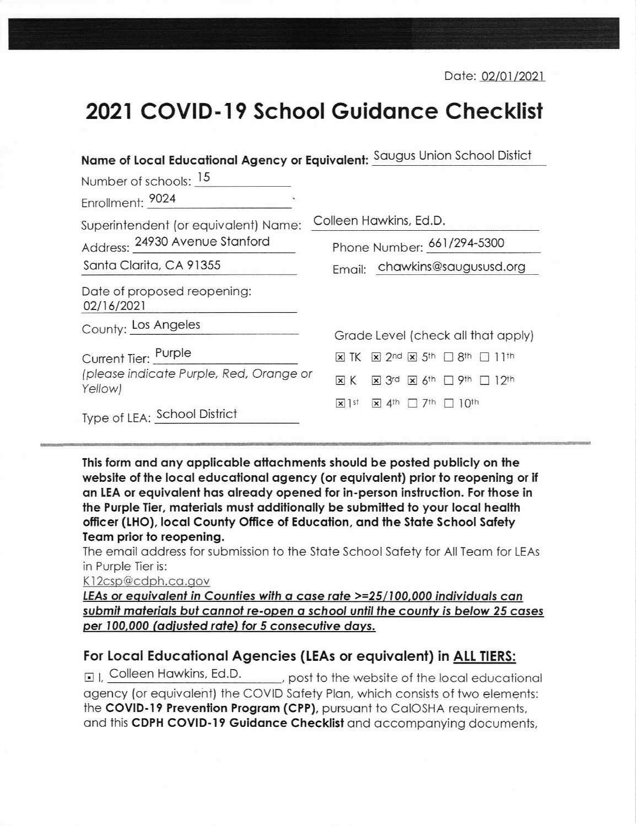Date: 02/01/2021

## 2021 COVID-19 School Guidance Checklist

| Name of Local Educational Agency or Equivalent: Saugus Union School Distict |                                                                                                                                  |
|-----------------------------------------------------------------------------|----------------------------------------------------------------------------------------------------------------------------------|
| Number of schools: 15                                                       |                                                                                                                                  |
| Enrollment: 9024                                                            |                                                                                                                                  |
| Superintendent (or equivalent) Name:                                        | Colleen Hawkins, Ed.D.                                                                                                           |
| Address: 24930 Avenue Stanford                                              | Phone Number: 661/294-5300                                                                                                       |
| Santa Clarita, CA 91355                                                     | Email: chawkins@saugususd.org                                                                                                    |
| Date of proposed reopening:<br>02/16/2021                                   |                                                                                                                                  |
| County: Los Angeles                                                         | Grade Level (check all that apply)                                                                                               |
| Current Tier: Purple                                                        | $\boxtimes$ 2nd $\boxtimes$ 5th $\Box$ 8th $\Box$ 11th<br>$\times$ TK                                                            |
| (please indicate Purple, Red, Orange or<br>Yellow)                          | $\overline{\mathbf{x}}$ 3rd $\overline{\mathbf{x}}$ 6 <sup>th</sup> $\Box$ 9 <sup>th</sup> $\Box$ 12 <sup>th</sup><br>$\times$ K |
| Type of LEA: School District                                                | $\times$ ] st<br>$\overline{X}$ 4 <sup>th</sup> $\Box$ 7 <sup>th</sup> $\Box$ 10 <sup>th</sup>                                   |

This form and any applicable attachments should be posted publicly on the website of the local educational agency (or equivalent) prior to reopening or if an LEA or eauivalent has already opened for in-person instruction. For those in the Purple Tier, materials must additionally be submitted to your local health officer (LHO), local County Office of Education, and the State School Safety Team prior to reopening.

The email address for submission to the State School Safety for All Team for LEAs in Purple Tier is:

K12csp@cdph.ca.gov

LEAs or equivalent in Counties with a case rate >=25/100,000 individuals can submit materials but cannot re-open a school until the county is below 25 cases per 100,000 (adjusted rate) for 5 consecutive days.

## For Local Educational Agencies (LEAs or equivalent) in ALL TIERS:

 $\Box$  Colleen Hawkins, Ed.D. post to the website of the local educational agency (or equivalent) the COVID Safety Plan, which consists of two elements: the COVID-19 Prevention Program (CPP), pursuant to CalOSHA requirements, and this CDPH COVID-19 Guidance Checklist and accompanying documents,